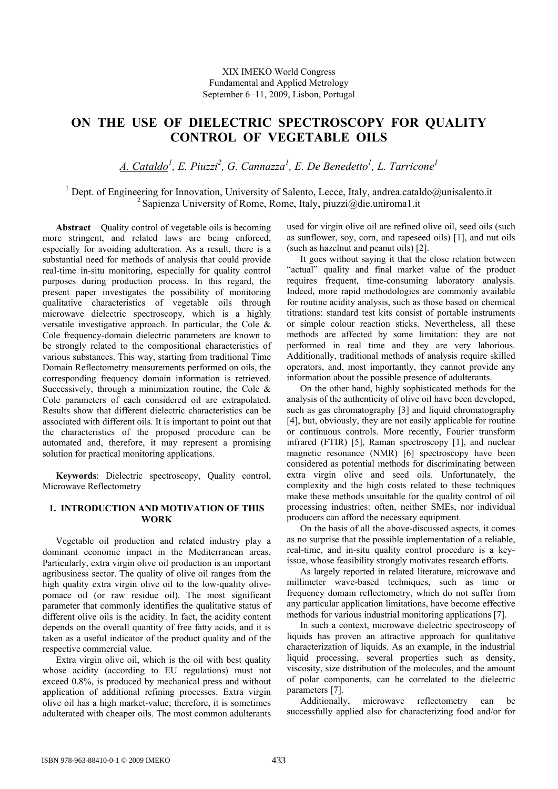# **ON THE USE OF DIELECTRIC SPECTROSCOPY FOR QUALITY CONTROL OF VEGETABLE OILS**

*A. Cataldo1 , E. Piuzzi<sup>2</sup> , G. Cannazza1 , E. De Benedetto1 , L. Tarricone<sup>1</sup>*

<sup>1</sup> Dept. of Engineering for Innovation, University of Salento, Lecce, Italy, andrea.cataldo@unisalento.it <sup>2</sup> Sapienza University of Rome, Rome, Italy, piuzzi@die.uniroma1.it

**Abstract** − Quality control of vegetable oils is becoming more stringent, and related laws are being enforced, especially for avoiding adulteration. As a result, there is a substantial need for methods of analysis that could provide real-time in-situ monitoring, especially for quality control purposes during production process. In this regard, the present paper investigates the possibility of monitoring qualitative characteristics of vegetable oils through microwave dielectric spectroscopy, which is a highly versatile investigative approach. In particular, the Cole & Cole frequency-domain dielectric parameters are known to be strongly related to the compositional characteristics of various substances. This way, starting from traditional Time Domain Reflectometry measurements performed on oils, the corresponding frequency domain information is retrieved. Successively, through a minimization routine, the Cole  $\&$ Cole parameters of each considered oil are extrapolated. Results show that different dielectric characteristics can be associated with different oils. It is important to point out that the characteristics of the proposed procedure can be automated and, therefore, it may represent a promising solution for practical monitoring applications.

**Keywords**: Dielectric spectroscopy, Quality control, Microwave Reflectometry

## **1. INTRODUCTION AND MOTIVATION OF THIS WORK**

Vegetable oil production and related industry play a dominant economic impact in the Mediterranean areas. Particularly, extra virgin olive oil production is an important agribusiness sector. The quality of olive oil ranges from the high quality extra virgin olive oil to the low-quality olivepomace oil (or raw residue oil). The most significant parameter that commonly identifies the qualitative status of different olive oils is the acidity. In fact, the acidity content depends on the overall quantity of free fatty acids, and it is taken as a useful indicator of the product quality and of the respective commercial value.

Extra virgin olive oil, which is the oil with best quality whose acidity (according to EU regulations) must not exceed 0.8%, is produced by mechanical press and without application of additional refining processes. Extra virgin olive oil has a high market-value; therefore, it is sometimes adulterated with cheaper oils. The most common adulterants used for virgin olive oil are refined olive oil, seed oils (such as sunflower, soy, corn, and rapeseed oils) [1], and nut oils (such as hazelnut and peanut oils) [2].

It goes without saying it that the close relation between "actual" quality and final market value of the product requires frequent, time-consuming laboratory analysis. Indeed, more rapid methodologies are commonly available for routine acidity analysis, such as those based on chemical titrations: standard test kits consist of portable instruments or simple colour reaction sticks. Nevertheless, all these methods are affected by some limitation: they are not performed in real time and they are very laborious. Additionally, traditional methods of analysis require skilled operators, and, most importantly, they cannot provide any information about the possible presence of adulterants.

On the other hand, highly sophisticated methods for the analysis of the authenticity of olive oil have been developed, such as gas chromatography [3] and liquid chromatography [4], but, obviously, they are not easily applicable for routine or continuous controls. More recently, Fourier transform infrared (FTIR) [5], Raman spectroscopy [1], and nuclear magnetic resonance (NMR) [6] spectroscopy have been considered as potential methods for discriminating between extra virgin olive and seed oils. Unfortunately, the complexity and the high costs related to these techniques make these methods unsuitable for the quality control of oil processing industries: often, neither SMEs, nor individual producers can afford the necessary equipment.

On the basis of all the above-discussed aspects, it comes as no surprise that the possible implementation of a reliable, real-time, and in-situ quality control procedure is a keyissue, whose feasibility strongly motivates research efforts.

As largely reported in related literature, microwave and millimeter wave-based techniques, such as time or frequency domain reflectometry, which do not suffer from any particular application limitations, have become effective methods for various industrial monitoring applications [7].

In such a context, microwave dielectric spectroscopy of liquids has proven an attractive approach for qualitative characterization of liquids. As an example, in the industrial liquid processing, several properties such as density, viscosity, size distribution of the molecules, and the amount of polar components, can be correlated to the dielectric parameters [7].

Additionally, microwave reflectometry can be successfully applied also for characterizing food and/or for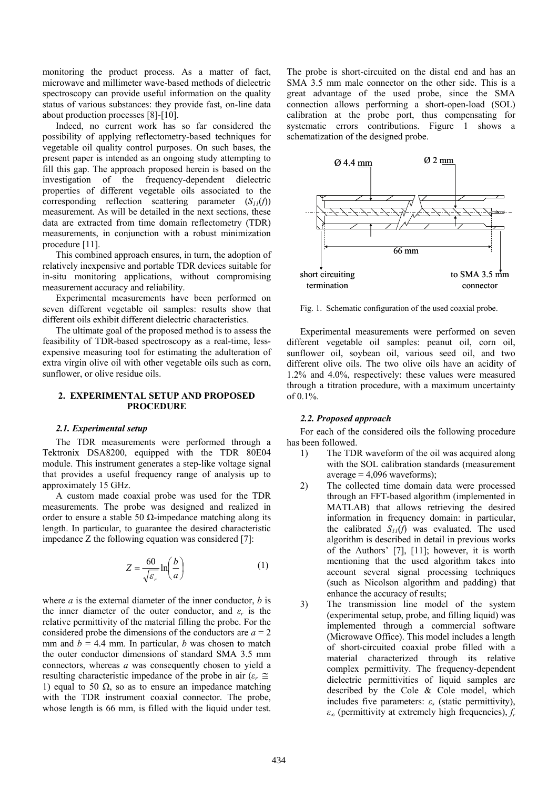monitoring the product process. As a matter of fact, microwave and millimeter wave-based methods of dielectric spectroscopy can provide useful information on the quality status of various substances: they provide fast, on-line data about production processes [8]-[10].

Indeed, no current work has so far considered the possibility of applying reflectometry-based techniques for vegetable oil quality control purposes. On such bases, the present paper is intended as an ongoing study attempting to fill this gap. The approach proposed herein is based on the investigation of the frequency-dependent dielectric properties of different vegetable oils associated to the corresponding reflection scattering parameter  $(S_{11}(f))$ measurement. As will be detailed in the next sections, these data are extracted from time domain reflectometry (TDR) measurements, in conjunction with a robust minimization procedure [11].

This combined approach ensures, in turn, the adoption of relatively inexpensive and portable TDR devices suitable for in-situ monitoring applications, without compromising measurement accuracy and reliability.

Experimental measurements have been performed on seven different vegetable oil samples: results show that different oils exhibit different dielectric characteristics.

The ultimate goal of the proposed method is to assess the feasibility of TDR-based spectroscopy as a real-time, lessexpensive measuring tool for estimating the adulteration of extra virgin olive oil with other vegetable oils such as corn, sunflower, or olive residue oils.

## **2. EXPERIMENTAL SETUP AND PROPOSED PROCEDURE**

#### *2.1. Experimental setup*

The TDR measurements were performed through a Tektronix DSA8200, equipped with the TDR 80E04 module. This instrument generates a step-like voltage signal that provides a useful frequency range of analysis up to approximately 15 GHz.

A custom made coaxial probe was used for the TDR measurements. The probe was designed and realized in order to ensure a stable 50  $\Omega$ -impedance matching along its length. In particular, to guarantee the desired characteristic impedance Z the following equation was considered [7]:

$$
Z = \frac{60}{\sqrt{\varepsilon_r}} \ln\left(\frac{b}{a}\right) \tag{1}
$$

where *a* is the external diameter of the inner conductor, *b* is the inner diameter of the outer conductor, and  $\varepsilon_r$  is the relative permittivity of the material filling the probe. For the considered probe the dimensions of the conductors are  $a = 2$ mm and  $b = 4.4$  mm. In particular, *b* was chosen to match the outer conductor dimensions of standard SMA 3.5 mm connectors, whereas *a* was consequently chosen to yield a resulting characteristic impedance of the probe in air ( $\varepsilon_r \approx$ 1) equal to 50  $\Omega$ , so as to ensure an impedance matching with the TDR instrument coaxial connector. The probe, whose length is 66 mm, is filled with the liquid under test.

The probe is short-circuited on the distal end and has an SMA 3.5 mm male connector on the other side. This is a great advantage of the used probe, since the SMA connection allows performing a short-open-load (SOL) calibration at the probe port, thus compensating for systematic errors contributions. Figure 1 shows a schematization of the designed probe.



Fig. 1. Schematic configuration of the used coaxial probe.

Experimental measurements were performed on seven different vegetable oil samples: peanut oil, corn oil, sunflower oil, soybean oil, various seed oil, and two different olive oils. The two olive oils have an acidity of 1.2% and 4.0%, respectively: these values were measured through a titration procedure, with a maximum uncertainty of  $0.1\%$ .

#### *2.2. Proposed approach*

For each of the considered oils the following procedure has been followed.

- 1) The TDR waveform of the oil was acquired along with the SOL calibration standards (measurement  $average = 4,096$  waveforms);
- 2) The collected time domain data were processed through an FFT-based algorithm (implemented in MATLAB) that allows retrieving the desired information in frequency domain: in particular, the calibrated  $S_{11}(f)$  was evaluated. The used algorithm is described in detail in previous works of the Authors' [7], [11]; however, it is worth mentioning that the used algorithm takes into account several signal processing techniques (such as Nicolson algorithm and padding) that enhance the accuracy of results;
- 3) The transmission line model of the system (experimental setup, probe, and filling liquid) was implemented through a commercial software (Microwave Office). This model includes a length of short-circuited coaxial probe filled with a material characterized through its relative complex permittivity. The frequency-dependent dielectric permittivities of liquid samples are described by the Cole & Cole model, which includes five parameters:  $\varepsilon$ <sub>*s*</sub> (static permittivity), *ε∞* (permittivity at extremely high frequencies), *fr*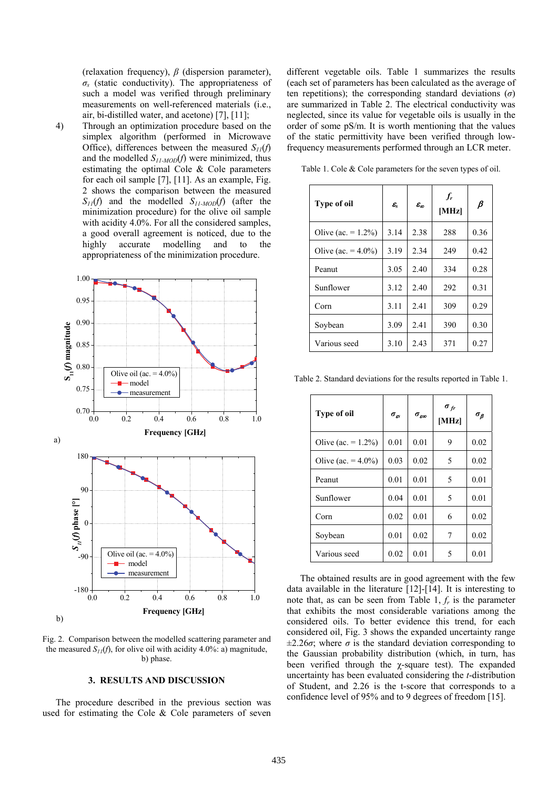(relaxation frequency), *β* (dispersion parameter), *σs* (static conductivity). The appropriateness of such a model was verified through preliminary measurements on well-referenced materials (i.e., air, bi-distilled water, and acetone) [7], [11];

4) Through an optimization procedure based on the simplex algorithm (performed in Microwave Office), differences between the measured  $S_{11}(f)$ and the modelled *S11-MOD*(*f*) were minimized, thus estimating the optimal Cole & Cole parameters for each oil sample [7], [11]. As an example, Fig. 2 shows the comparison between the measured *S11*(*f*) and the modelled *S11-MOD*(*f*) (after the minimization procedure) for the olive oil sample with acidity 4.0%. For all the considered samples, a good overall agreement is noticed, due to the highly accurate modelling and to the appropriateness of the minimization procedure.



Fig. 2. Comparison between the modelled scattering parameter and the measured  $S_{II}(f)$ , for olive oil with acidity 4.0%: a) magnitude, b) phase.

## **3. RESULTS AND DISCUSSION**

The procedure described in the previous section was used for estimating the Cole & Cole parameters of seven different vegetable oils. Table 1 summarizes the results (each set of parameters has been calculated as the average of ten repetitions); the corresponding standard deviations (*σ*) are summarized in Table 2. The electrical conductivity was neglected, since its value for vegetable oils is usually in the order of some pS/m. It is worth mentioning that the values of the static permittivity have been verified through lowfrequency measurements performed through an LCR meter.

| <b>Type of oil</b>     | $\mathcal{E}_{\text{s}}$ | $\varepsilon_{\scriptscriptstyle\sigma\sigma}$ | $f_r$<br>[MHz] | $\pmb{\beta}$ |
|------------------------|--------------------------|------------------------------------------------|----------------|---------------|
| Olive (ac. = $1.2\%$ ) | 3.14                     | 2.38                                           | 288            | 0.36          |
| Olive (ac. = $4.0\%$ ) | 3.19                     | 2.34                                           | 249            | 0.42          |
| Peanut                 | 3.05                     | 2.40                                           | 334            | 0.28          |
| Sunflower              | 3.12                     | 2.40                                           | 292            | 0.31          |
| Corn                   | 3.11                     | 2.41                                           | 309            | 0.29          |
| Soybean                | 3.09                     | 2.41                                           | 390            | 0.30          |
| Various seed           | 3.10                     | 2.43                                           | 371            | 0.27          |

Table 1. Cole & Cole parameters for the seven types of oil.

Table 2. Standard deviations for the results reported in Table 1.

| <b>Type of oil</b>     | $\sigma_{\alpha}$ | $\sigma_{\textit{e}\infty}$ | $\sigma_{fr}$<br>[MHz] | $\sigma_{\beta}$ |
|------------------------|-------------------|-----------------------------|------------------------|------------------|
| Olive (ac. = $1.2\%$ ) | 0.01              | 0.01                        | 9                      | 0.02             |
| Olive (ac. = $4.0\%$ ) | 0.03              | 0.02                        | 5                      | 0.02             |
| Peanut                 | 0.01              | 0.01                        | 5                      | 0.01             |
| Sunflower              | 0.04              | 0.01                        | 5                      | 0.01             |
| Corn                   | 0.02              | 0.01                        | 6                      | 0.02             |
| Soybean                | 0.01              | 0.02                        | 7                      | 0.02             |
| Various seed           | 0.02              | 0.01                        | 5                      | 0.01             |

The obtained results are in good agreement with the few data available in the literature [12]-[14]. It is interesting to note that, as can be seen from Table 1, *fr* is the parameter that exhibits the most considerable variations among the considered oils. To better evidence this trend, for each considered oil, Fig. 3 shows the expanded uncertainty range  $\pm 2.26\sigma$ ; where  $\sigma$  is the standard deviation corresponding to the Gaussian probability distribution (which, in turn, has been verified through the  $\gamma$ -square test). The expanded uncertainty has been evaluated considering the *t*-distribution of Student, and 2.26 is the t-score that corresponds to a confidence level of 95% and to 9 degrees of freedom [15].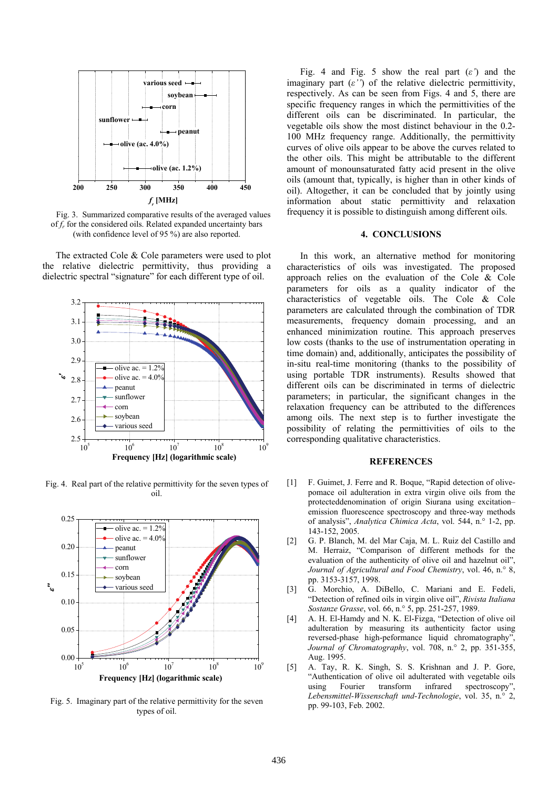

Fig. 3. Summarized comparative results of the averaged values of *fr* for the considered oils. Related expanded uncertainty bars (with confidence level of 95 %) are also reported.

The extracted Cole & Cole parameters were used to plot the relative dielectric permittivity, thus providing a dielectric spectral "signature" for each different type of oil.



Fig. 4. Real part of the relative permittivity for the seven types of oil.



Fig. 5. Imaginary part of the relative permittivity for the seven types of oil.

Fig. 4 and Fig. 5 show the real part (*ε'*) and the imaginary part  $(\varepsilon'')$  of the relative dielectric permittivity, respectively. As can be seen from Figs. 4 and 5, there are specific frequency ranges in which the permittivities of the different oils can be discriminated. In particular, the vegetable oils show the most distinct behaviour in the 0.2- 100 MHz frequency range. Additionally, the permittivity curves of olive oils appear to be above the curves related to the other oils. This might be attributable to the different amount of monounsaturated fatty acid present in the olive oils (amount that, typically, is higher than in other kinds of oil). Altogether, it can be concluded that by jointly using information about static permittivity and relaxation frequency it is possible to distinguish among different oils.

### **4. CONCLUSIONS**

In this work, an alternative method for monitoring characteristics of oils was investigated. The proposed approach relies on the evaluation of the Cole & Cole parameters for oils as a quality indicator of the characteristics of vegetable oils. The Cole & Cole parameters are calculated through the combination of TDR measurements, frequency domain processing, and an enhanced minimization routine. This approach preserves low costs (thanks to the use of instrumentation operating in time domain) and, additionally, anticipates the possibility of in-situ real-time monitoring (thanks to the possibility of using portable TDR instruments). Results showed that different oils can be discriminated in terms of dielectric parameters; in particular, the significant changes in the relaxation frequency can be attributed to the differences among oils. The next step is to further investigate the possibility of relating the permittivities of oils to the corresponding qualitative characteristics.

## **REFERENCES**

- [1] F. Guimet, J. Ferre and R. Boque, "Rapid detection of olivepomace oil adulteration in extra virgin olive oils from the protecteddenomination of origin Siurana using excitation– emission fluorescence spectroscopy and three-way methods of analysis", *Analytica Chimica Acta*, vol. 544, n.° 1-2, pp. 143-152, 2005.
- [2] G. P. Blanch, M. del Mar Caja, M. L. Ruiz del Castillo and M. Herraiz, "Comparison of different methods for the evaluation of the authenticity of olive oil and hazelnut oil", *Journal of Agricultural and Food Chemistry*, vol. 46, n.° 8, pp. 3153-3157, 1998.
- [3] G. Morchio, A. DiBello, C. Mariani and E. Fedeli, "Detection of refined oils in virgin olive oil", *Rivista Italiana Sostanze Grasse*, vol. 66, n.° 5, pp. 251-257, 1989.
- [4] A. H. El-Hamdy and N. K. El-Fizga, "Detection of olive oil adulteration by measuring its authenticity factor using reversed-phase high-peformance liquid chromatography", *Journal of Chromatography*, vol. 708, n.° 2, pp. 351-355, Aug. 1995.
- [5] A. Tay, R. K. Singh, S. S. Krishnan and J. P. Gore, "Authentication of olive oil adulterated with vegetable oils using Fourier transform infrared spectroscopy", *Lebensmittel-Wissenschaft und-Technologie*, vol. 35, n.° 2, pp. 99-103, Feb. 2002.